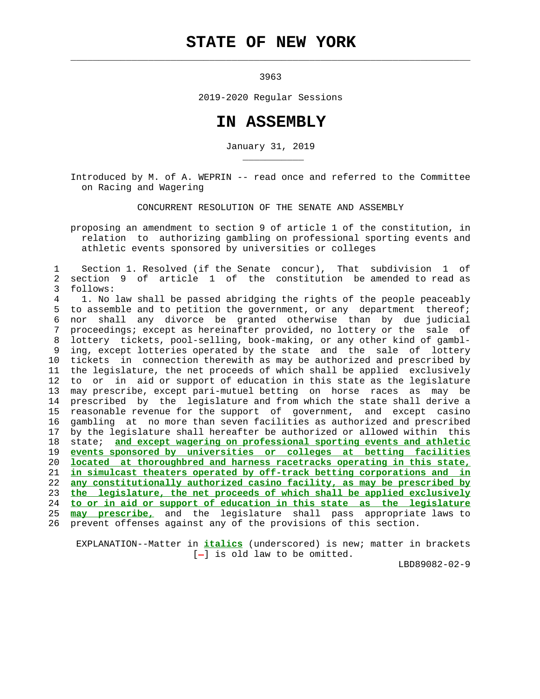## **STATE OF NEW YORK**

 $\mathcal{L}_\text{max} = \frac{1}{2} \sum_{i=1}^{n} \frac{1}{2} \sum_{i=1}^{n} \frac{1}{2} \sum_{i=1}^{n} \frac{1}{2} \sum_{i=1}^{n} \frac{1}{2} \sum_{i=1}^{n} \frac{1}{2} \sum_{i=1}^{n} \frac{1}{2} \sum_{i=1}^{n} \frac{1}{2} \sum_{i=1}^{n} \frac{1}{2} \sum_{i=1}^{n} \frac{1}{2} \sum_{i=1}^{n} \frac{1}{2} \sum_{i=1}^{n} \frac{1}{2} \sum_{i=1}^{n} \frac{1$ 

\_\_\_\_\_\_\_\_\_\_\_

3963

2019-2020 Regular Sessions

## **IN ASSEMBLY**

January 31, 2019

 Introduced by M. of A. WEPRIN -- read once and referred to the Committee on Racing and Wagering

CONCURRENT RESOLUTION OF THE SENATE AND ASSEMBLY

 proposing an amendment to section 9 of article 1 of the constitution, in relation to authorizing gambling on professional sporting events and athletic events sponsored by universities or colleges

 1 Section 1. Resolved (if the Senate concur), That subdivision 1 of 2 section 9 of article 1 of the constitution be amended to read as 3 follows:

 4 1. No law shall be passed abridging the rights of the people peaceably 5 to assemble and to petition the government, or any department thereof; 6 nor shall any divorce be granted otherwise than by due judicial 7 proceedings; except as hereinafter provided, no lottery or the sale of 8 lottery tickets, pool-selling, book-making, or any other kind of gambl- 9 ing, except lotteries operated by the state and the sale of lottery 10 tickets in connection therewith as may be authorized and prescribed by 11 the legislature, the net proceeds of which shall be applied exclusively 12 to or in aid or support of education in this state as the legislature 13 may prescribe, except pari-mutuel betting on horse races as may be 14 prescribed by the legislature and from which the state shall derive a 15 reasonable revenue for the support of government, and except casino 16 gambling at no more than seven facilities as authorized and prescribed 17 by the legislature shall hereafter be authorized or allowed within this 18 state; **and except wagering on professional sporting events and athletic** 19 **events sponsored by universities or colleges at betting facilities** 20 **located at thoroughbred and harness racetracks operating in this state,** 21 **in simulcast theaters operated by off-track betting corporations and in** 22 **any constitutionally authorized casino facility, as may be prescribed by** 23 **the legislature, the net proceeds of which shall be applied exclusively** 24 **to or in aid or support of education in this state as the legislature** 25 **may prescribe,** and the legislature shall pass appropriate laws to 26 prevent offenses against any of the provisions of this section.

 EXPLANATION--Matter in **italics** (underscored) is new; matter in brackets  $[-]$  is old law to be omitted.

LBD89082-02-9